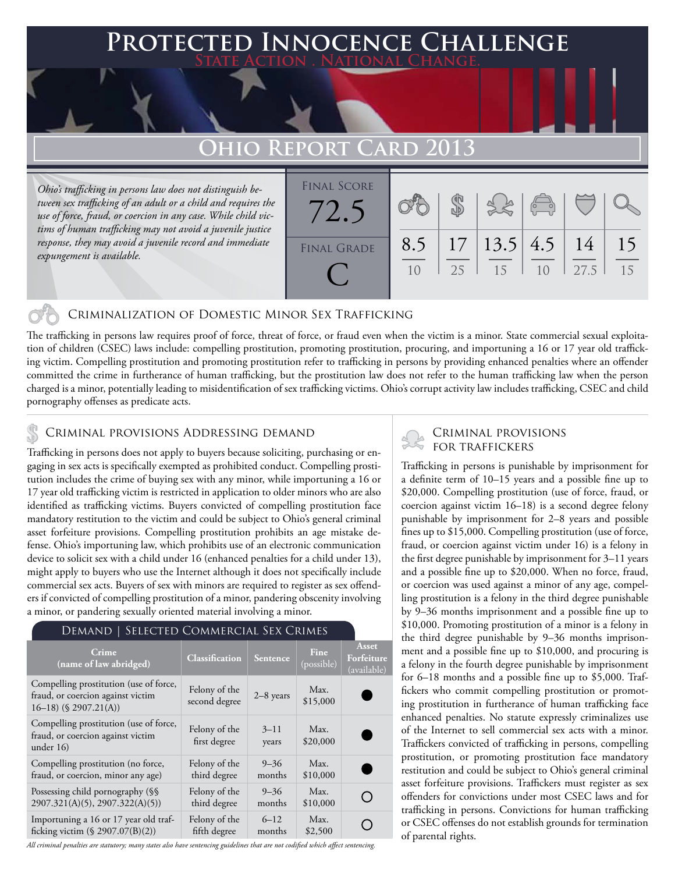## **PTED INNOCENCE CHALLENGE State Action . National Change.**

# **Ohio Report Card 2013**

*Ohio's trafficking in persons law does not distinguish between sex trafficking of an adult or a child and requires the use of force, fraud, or coercion in any case. While child victims of human trafficking may not avoid a juvenile justice response, they may avoid a juvenile record and immediate expungement is available.*

| <b>FINAL SCORE</b> |           |          |                 | $\sqrt{2}$     |            |          |
|--------------------|-----------|----------|-----------------|----------------|------------|----------|
| <b>FINAL GRADE</b> | 8.5<br>10 | 17<br>25 | 13.5 4.5 <br>15 | 1 <sub>0</sub> | 14<br>27.5 | 15<br>15 |

#### Criminalization of Domestic Minor Sex Trafficking

The trafficking in persons law requires proof of force, threat of force, or fraud even when the victim is a minor. State commercial sexual exploitation of children (CSEC) laws include: compelling prostitution, promoting prostitution, procuring, and importuning a 16 or 17 year old trafficking victim. Compelling prostitution and promoting prostitution refer to trafficking in persons by providing enhanced penalties where an offender committed the crime in furtherance of human trafficking, but the prostitution law does not refer to the human trafficking law when the person charged is a minor, potentially leading to misidentification of sex trafficking victims. Ohio's corrupt activity law includes trafficking, CSEC and child pornography offenses as predicate acts.

Trafficking in persons does not apply to buyers because soliciting, purchasing or engaging in sex acts is specifically exempted as prohibited conduct. Compelling prostitution includes the crime of buying sex with any minor, while importuning a 16 or 17 year old trafficking victim is restricted in application to older minors who are also identified as trafficking victims. Buyers convicted of compelling prostitution face mandatory restitution to the victim and could be subject to Ohio's general criminal asset forfeiture provisions. Compelling prostitution prohibits an age mistake defense. Ohio's importuning law, which prohibits use of an electronic communication device to solicit sex with a child under 16 (enhanced penalties for a child under 13), might apply to buyers who use the Internet although it does not specifically include commercial sex acts. Buyers of sex with minors are required to register as sex offenders if convicted of compelling prostitution of a minor, pandering obscenity involving a minor, or pandering sexually oriented material involving a minor.

#### Demand | Selected Commercial Sex Crimes

| Crime<br>(name of law abridged)                                                                         | Classification                 | Sentence          | Fine<br>(possible) | <b>Asset</b><br>Forfeiture<br>(available) |
|---------------------------------------------------------------------------------------------------------|--------------------------------|-------------------|--------------------|-------------------------------------------|
| Compelling prostitution (use of force,<br>fraud, or coercion against victim<br>$16-18$ ) (§ 2907.21(A)) | Felony of the<br>second degree | $2-8$ years       | Max.<br>\$15,000   |                                           |
| Compelling prostitution (use of force,<br>fraud, or coercion against victim<br>under $16$               | Felony of the<br>first degree  | $3 - 11$<br>years | Max.<br>\$20,000   |                                           |
| Compelling prostitution (no force,                                                                      | Felony of the                  | $9 - 36$          | Max.               |                                           |
| fraud, or coercion, minor any age)                                                                      | third degree                   | months            | \$10,000           |                                           |
| Possessing child pornography (§§                                                                        | Felony of the                  | $9 - 36$          | Max.               |                                           |
| 2907.321(A)(5), 2907.322(A)(5))                                                                         | third degree                   | months            | \$10,000           |                                           |
| Importuning a 16 or 17 year old traf-                                                                   | Felony of the                  | $6 - 12$          | Max.               |                                           |
| ficking victim $(\S$ 2907.07(B)(2))                                                                     | fifth degree                   | months            | \$2,500            |                                           |

*All criminal penalties are statutory; many states also have sentencing guidelines that are not codified which affect sentencing.* 

# CRIMINAL PROVISIONS ADDRESSING DEMAND<br>Trafficking in persons does not analy to buyers because coliciting purchasing or an FOR TRAFFICKERS

Trafficking in persons is punishable by imprisonment for a definite term of 10–15 years and a possible fine up to \$20,000. Compelling prostitution (use of force, fraud, or coercion against victim 16–18) is a second degree felony punishable by imprisonment for 2–8 years and possible fines up to \$15,000. Compelling prostitution (use of force, fraud, or coercion against victim under 16) is a felony in the first degree punishable by imprisonment for 3–11 years and a possible fine up to \$20,000. When no force, fraud, or coercion was used against a minor of any age, compelling prostitution is a felony in the third degree punishable by 9–36 months imprisonment and a possible fine up to \$10,000. Promoting prostitution of a minor is a felony in the third degree punishable by 9–36 months imprisonment and a possible fine up to \$10,000, and procuring is a felony in the fourth degree punishable by imprisonment for 6–18 months and a possible fine up to \$5,000. Traffickers who commit compelling prostitution or promoting prostitution in furtherance of human trafficking face enhanced penalties. No statute expressly criminalizes use of the Internet to sell commercial sex acts with a minor. Traffickers convicted of trafficking in persons, compelling prostitution, or promoting prostitution face mandatory restitution and could be subject to Ohio's general criminal asset forfeiture provisions. Traffickers must register as sex offenders for convictions under most CSEC laws and for trafficking in persons. Convictions for human trafficking or CSEC offenses do not establish grounds for termination of parental rights.